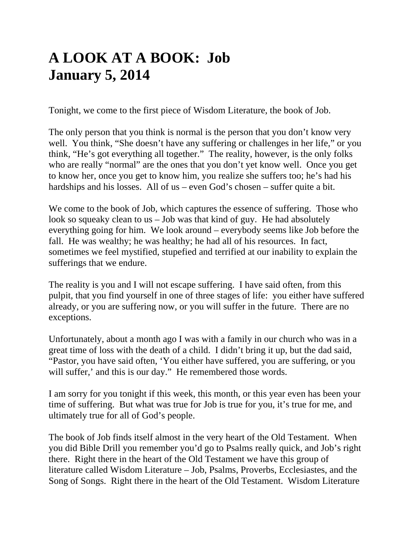# **A LOOK AT A BOOK: Job January 5, 2014**

Tonight, we come to the first piece of Wisdom Literature, the book of Job.

The only person that you think is normal is the person that you don't know very well. You think, "She doesn't have any suffering or challenges in her life," or you think, "He's got everything all together." The reality, however, is the only folks who are really "normal" are the ones that you don't yet know well. Once you get to know her, once you get to know him, you realize she suffers too; he's had his hardships and his losses. All of us – even God's chosen – suffer quite a bit.

We come to the book of Job, which captures the essence of suffering. Those who look so squeaky clean to us – Job was that kind of guy. He had absolutely everything going for him. We look around – everybody seems like Job before the fall. He was wealthy; he was healthy; he had all of his resources. In fact, sometimes we feel mystified, stupefied and terrified at our inability to explain the sufferings that we endure.

The reality is you and I will not escape suffering. I have said often, from this pulpit, that you find yourself in one of three stages of life: you either have suffered already, or you are suffering now, or you will suffer in the future. There are no exceptions.

Unfortunately, about a month ago I was with a family in our church who was in a great time of loss with the death of a child. I didn't bring it up, but the dad said, "Pastor, you have said often, 'You either have suffered, you are suffering, or you will suffer,' and this is our day." He remembered those words.

I am sorry for you tonight if this week, this month, or this year even has been your time of suffering. But what was true for Job is true for you, it's true for me, and ultimately true for all of God's people.

The book of Job finds itself almost in the very heart of the Old Testament. When you did Bible Drill you remember you'd go to Psalms really quick, and Job's right there. Right there in the heart of the Old Testament we have this group of literature called Wisdom Literature – Job, Psalms, Proverbs, Ecclesiastes, and the Song of Songs. Right there in the heart of the Old Testament. Wisdom Literature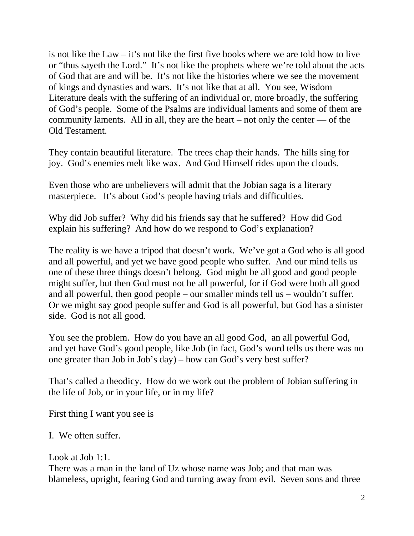is not like the Law – it's not like the first five books where we are told how to live or "thus sayeth the Lord." It's not like the prophets where we're told about the acts of God that are and will be. It's not like the histories where we see the movement of kings and dynasties and wars. It's not like that at all. You see, Wisdom Literature deals with the suffering of an individual or, more broadly, the suffering of God's people. Some of the Psalms are individual laments and some of them are community laments. All in all, they are the heart – not only the center — of the Old Testament.

They contain beautiful literature. The trees chap their hands. The hills sing for joy. God's enemies melt like wax. And God Himself rides upon the clouds.

Even those who are unbelievers will admit that the Jobian saga is a literary masterpiece. It's about God's people having trials and difficulties.

Why did Job suffer? Why did his friends say that he suffered? How did God explain his suffering? And how do we respond to God's explanation?

The reality is we have a tripod that doesn't work. We've got a God who is all good and all powerful, and yet we have good people who suffer. And our mind tells us one of these three things doesn't belong. God might be all good and good people might suffer, but then God must not be all powerful, for if God were both all good and all powerful, then good people – our smaller minds tell us – wouldn't suffer. Or we might say good people suffer and God is all powerful, but God has a sinister side. God is not all good.

You see the problem. How do you have an all good God, an all powerful God, and yet have God's good people, like Job (in fact, God's word tells us there was no one greater than Job in Job's day) – how can God's very best suffer?

That's called a theodicy. How do we work out the problem of Jobian suffering in the life of Job, or in your life, or in my life?

First thing I want you see is

I. We often suffer.

Look at Job 1:1.

There was a man in the land of Uz whose name was Job; and that man was blameless, upright, fearing God and turning away from evil. Seven sons and three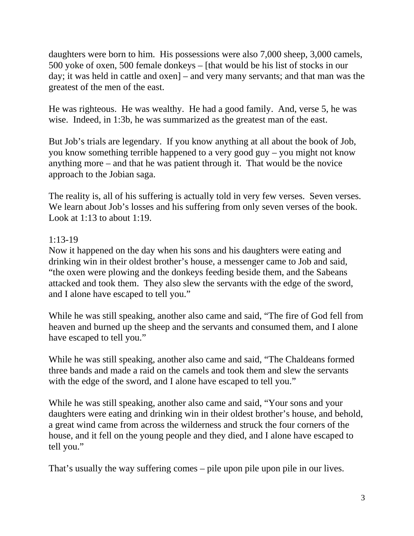daughters were born to him. His possessions were also 7,000 sheep, 3,000 camels, 500 yoke of oxen, 500 female donkeys – [that would be his list of stocks in our day; it was held in cattle and oxen] – and very many servants; and that man was the greatest of the men of the east.

He was righteous. He was wealthy. He had a good family. And, verse 5, he was wise. Indeed, in 1:3b, he was summarized as the greatest man of the east.

But Job's trials are legendary. If you know anything at all about the book of Job, you know something terrible happened to a very good guy – you might not know anything more – and that he was patient through it. That would be the novice approach to the Jobian saga.

The reality is, all of his suffering is actually told in very few verses. Seven verses. We learn about Job's losses and his suffering from only seven verses of the book. Look at  $1:13$  to about  $1:19$ .

## $1:13-19$

Now it happened on the day when his sons and his daughters were eating and drinking win in their oldest brother's house, a messenger came to Job and said, "the oxen were plowing and the donkeys feeding beside them, and the Sabeans attacked and took them. They also slew the servants with the edge of the sword, and I alone have escaped to tell you."

While he was still speaking, another also came and said, "The fire of God fell from heaven and burned up the sheep and the servants and consumed them, and I alone have escaped to tell you."

While he was still speaking, another also came and said, "The Chaldeans formed three bands and made a raid on the camels and took them and slew the servants with the edge of the sword, and I alone have escaped to tell you."

While he was still speaking, another also came and said, "Your sons and your daughters were eating and drinking win in their oldest brother's house, and behold, a great wind came from across the wilderness and struck the four corners of the house, and it fell on the young people and they died, and I alone have escaped to tell you."

That's usually the way suffering comes – pile upon pile upon pile in our lives.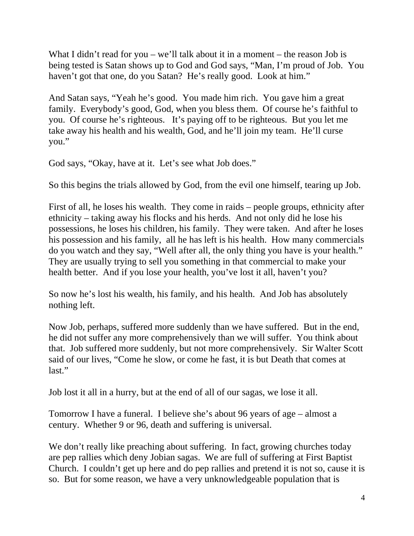What I didn't read for you – we'll talk about it in a moment – the reason Job is being tested is Satan shows up to God and God says, "Man, I'm proud of Job. You haven't got that one, do you Satan? He's really good. Look at him."

And Satan says, "Yeah he's good. You made him rich. You gave him a great family. Everybody's good, God, when you bless them. Of course he's faithful to you. Of course he's righteous. It's paying off to be righteous. But you let me take away his health and his wealth, God, and he'll join my team. He'll curse you."

God says, "Okay, have at it. Let's see what Job does."

So this begins the trials allowed by God, from the evil one himself, tearing up Job.

First of all, he loses his wealth. They come in raids – people groups, ethnicity after ethnicity – taking away his flocks and his herds. And not only did he lose his possessions, he loses his children, his family. They were taken. And after he loses his possession and his family, all he has left is his health. How many commercials do you watch and they say, "Well after all, the only thing you have is your health." They are usually trying to sell you something in that commercial to make your health better. And if you lose your health, you've lost it all, haven't you?

So now he's lost his wealth, his family, and his health. And Job has absolutely nothing left.

Now Job, perhaps, suffered more suddenly than we have suffered. But in the end, he did not suffer any more comprehensively than we will suffer. You think about that. Job suffered more suddenly, but not more comprehensively. Sir Walter Scott said of our lives, "Come he slow, or come he fast, it is but Death that comes at last."

Job lost it all in a hurry, but at the end of all of our sagas, we lose it all.

Tomorrow I have a funeral. I believe she's about 96 years of age – almost a century. Whether 9 or 96, death and suffering is universal.

We don't really like preaching about suffering. In fact, growing churches today are pep rallies which deny Jobian sagas. We are full of suffering at First Baptist Church. I couldn't get up here and do pep rallies and pretend it is not so, cause it is so. But for some reason, we have a very unknowledgeable population that is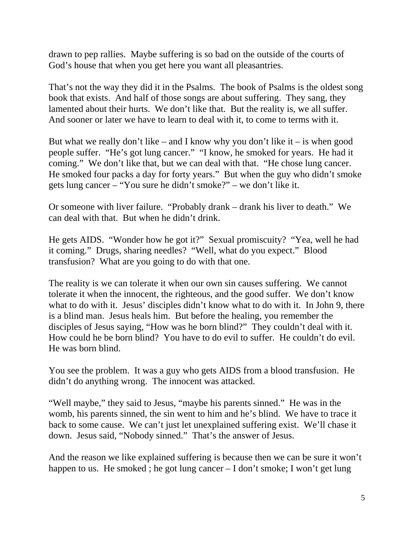drawn to pep rallies. Maybe suffering is so bad on the outside of the courts of God's house that when you get here you want all pleasantries.

That's not the way they did it in the Psalms. The book of Psalms is the oldest song book that exists. And half of those songs are about suffering. They sang, they lamented about their hurts. We don't like that. But the reality is, we all suffer. And sooner or later we have to learn to deal with it, to come to terms with it.

But what we really don't like – and I know why you don't like it – is when good people suffer. "He's got lung cancer." "I know, he smoked for years. He had it coming." We don't like that, but we can deal with that. "He chose lung cancer. He smoked four packs a day for forty years." But when the guy who didn't smoke gets lung cancer – "You sure he didn't smoke?" – we don't like it.

Or someone with liver failure. "Probably drank – drank his liver to death." We can deal with that. But when he didn't drink.

He gets AIDS. "Wonder how he got it?" Sexual promiscuity? "Yea, well he had it coming." Drugs, sharing needles? "Well, what do you expect." Blood transfusion? What are you going to do with that one.

The reality is we can tolerate it when our own sin causes suffering. We cannot tolerate it when the innocent, the righteous, and the good suffer. We don't know what to do with it. Jesus' disciples didn't know what to do with it. In John 9, there is a blind man. Jesus heals him. But before the healing, you remember the disciples of Jesus saying, "How was he born blind?" They couldn't deal with it. How could he be born blind? You have to do evil to suffer. He couldn't do evil. He was born blind.

You see the problem. It was a guy who gets AIDS from a blood transfusion. He didn't do anything wrong. The innocent was attacked.

"Well maybe," they said to Jesus, "maybe his parents sinned." He was in the womb, his parents sinned, the sin went to him and he's blind. We have to trace it back to some cause. We can't just let unexplained suffering exist. We'll chase it down. Jesus said, "Nobody sinned." That's the answer of Jesus.

And the reason we like explained suffering is because then we can be sure it won't happen to us. He smoked; he got lung cancer – I don't smoke; I won't get lung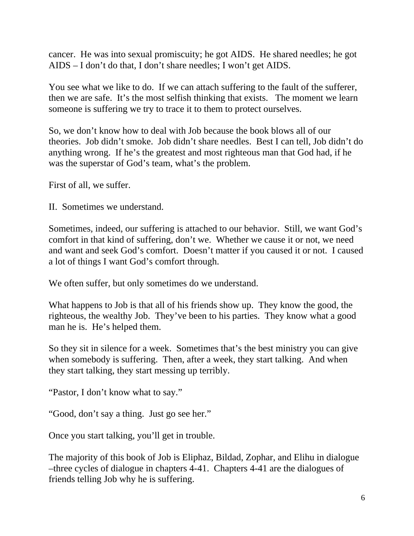cancer. He was into sexual promiscuity; he got AIDS. He shared needles; he got AIDS – I don't do that, I don't share needles; I won't get AIDS.

You see what we like to do. If we can attach suffering to the fault of the sufferer, then we are safe. It's the most selfish thinking that exists. The moment we learn someone is suffering we try to trace it to them to protect ourselves.

So, we don't know how to deal with Job because the book blows all of our theories. Job didn't smoke. Job didn't share needles. Best I can tell, Job didn't do anything wrong. If he's the greatest and most righteous man that God had, if he was the superstar of God's team, what's the problem.

First of all, we suffer.

II. Sometimes we understand.

Sometimes, indeed, our suffering is attached to our behavior. Still, we want God's comfort in that kind of suffering, don't we. Whether we cause it or not, we need and want and seek God's comfort. Doesn't matter if you caused it or not. I caused a lot of things I want God's comfort through.

We often suffer, but only sometimes do we understand.

What happens to Job is that all of his friends show up. They know the good, the righteous, the wealthy Job. They've been to his parties. They know what a good man he is. He's helped them.

So they sit in silence for a week. Sometimes that's the best ministry you can give when somebody is suffering. Then, after a week, they start talking. And when they start talking, they start messing up terribly.

"Pastor, I don't know what to say."

"Good, don't say a thing. Just go see her."

Once you start talking, you'll get in trouble.

The majority of this book of Job is Eliphaz, Bildad, Zophar, and Elihu in dialogue –three cycles of dialogue in chapters 4-41. Chapters 4-41 are the dialogues of friends telling Job why he is suffering.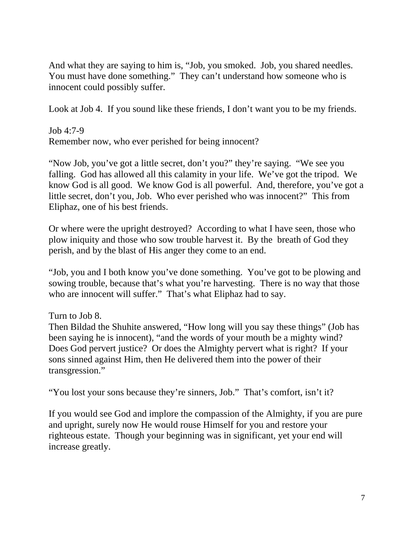And what they are saying to him is, "Job, you smoked. Job, you shared needles. You must have done something." They can't understand how someone who is innocent could possibly suffer.

Look at Job 4. If you sound like these friends, I don't want you to be my friends.

Job 4:7-9 Remember now, who ever perished for being innocent?

"Now Job, you've got a little secret, don't you?" they're saying. "We see you falling. God has allowed all this calamity in your life. We've got the tripod. We know God is all good. We know God is all powerful. And, therefore, you've got a little secret, don't you, Job. Who ever perished who was innocent?" This from Eliphaz, one of his best friends.

Or where were the upright destroyed? According to what I have seen, those who plow iniquity and those who sow trouble harvest it. By the breath of God they perish, and by the blast of His anger they come to an end.

"Job, you and I both know you've done something. You've got to be plowing and sowing trouble, because that's what you're harvesting. There is no way that those who are innocent will suffer." That's what Eliphaz had to say.

Turn to Job 8.

Then Bildad the Shuhite answered, "How long will you say these things" (Job has been saying he is innocent), "and the words of your mouth be a mighty wind? Does God pervert justice? Or does the Almighty pervert what is right? If your sons sinned against Him, then He delivered them into the power of their transgression."

"You lost your sons because they're sinners, Job." That's comfort, isn't it?

If you would see God and implore the compassion of the Almighty, if you are pure and upright, surely now He would rouse Himself for you and restore your righteous estate. Though your beginning was in significant, yet your end will increase greatly.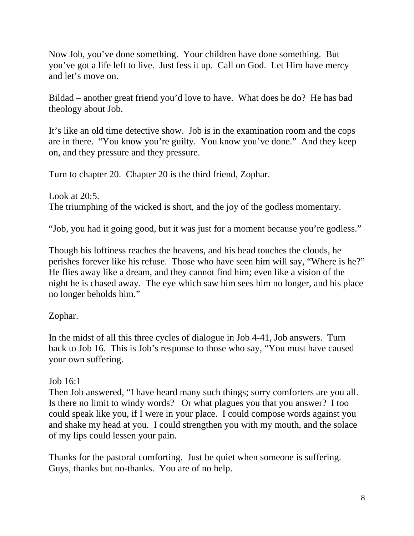Now Job, you've done something. Your children have done something. But you've got a life left to live. Just fess it up. Call on God. Let Him have mercy and let's move on.

Bildad – another great friend you'd love to have. What does he do? He has bad theology about Job.

It's like an old time detective show. Job is in the examination room and the cops are in there. "You know you're guilty. You know you've done." And they keep on, and they pressure and they pressure.

Turn to chapter 20. Chapter 20 is the third friend, Zophar.

Look at 20:5. The triumphing of the wicked is short, and the joy of the godless momentary.

"Job, you had it going good, but it was just for a moment because you're godless."

Though his loftiness reaches the heavens, and his head touches the clouds, he perishes forever like his refuse. Those who have seen him will say, "Where is he?" He flies away like a dream, and they cannot find him; even like a vision of the night he is chased away. The eye which saw him sees him no longer, and his place no longer beholds him."

### Zophar.

In the midst of all this three cycles of dialogue in Job 4-41, Job answers. Turn back to Job 16. This is Job's response to those who say, "You must have caused your own suffering.

### Job 16:1

Then Job answered, "I have heard many such things; sorry comforters are you all. Is there no limit to windy words? Or what plagues you that you answer? I too could speak like you, if I were in your place. I could compose words against you and shake my head at you. I could strengthen you with my mouth, and the solace of my lips could lessen your pain.

Thanks for the pastoral comforting. Just be quiet when someone is suffering. Guys, thanks but no-thanks. You are of no help.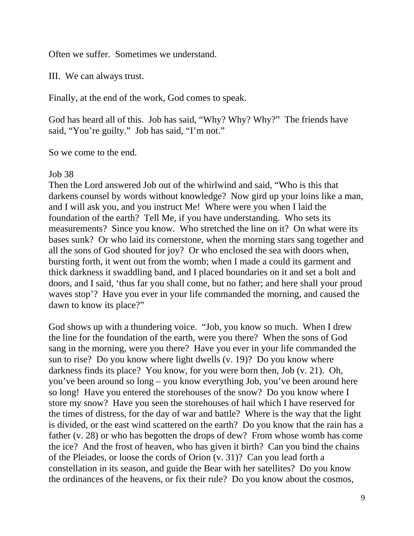Often we suffer. Sometimes we understand.

III. We can always trust.

Finally, at the end of the work, God comes to speak.

God has heard all of this. Job has said, "Why? Why? Why?" The friends have said, "You're guilty." Job has said, "I'm not."

So we come to the end.

#### Job 38

Then the Lord answered Job out of the whirlwind and said, "Who is this that darkens counsel by words without knowledge? Now gird up your loins like a man, and I will ask you, and you instruct Me! Where were you when I laid the foundation of the earth? Tell Me, if you have understanding. Who sets its measurements? Since you know. Who stretched the line on it? On what were its bases sunk? Or who laid its cornerstone, when the morning stars sang together and all the sons of God shouted for joy? Or who enclosed the sea with doors when, bursting forth, it went out from the womb; when I made a could its garment and thick darkness it swaddling band, and I placed boundaries on it and set a bolt and doors, and I said, 'thus far you shall come, but no father; and here shall your proud waves stop'? Have you ever in your life commanded the morning, and caused the dawn to know its place?"

God shows up with a thundering voice. "Job, you know so much. When I drew the line for the foundation of the earth, were you there? When the sons of God sang in the morning, were you there? Have you ever in your life commanded the sun to rise? Do you know where light dwells (v. 19)? Do you know where darkness finds its place? You know, for you were born then, Job (v. 21). Oh, you've been around so long – you know everything Job, you've been around here so long! Have you entered the storehouses of the snow? Do you know where I store my snow? Have you seen the storehouses of hail which I have reserved for the times of distress, for the day of war and battle? Where is the way that the light is divided, or the east wind scattered on the earth? Do you know that the rain has a father (v. 28) or who has begotten the drops of dew? From whose womb has come the ice? And the frost of heaven, who has given it birth? Can you bind the chains of the Pleiades, or loose the cords of Orion (v. 31)? Can you lead forth a constellation in its season, and guide the Bear with her satellites? Do you know the ordinances of the heavens, or fix their rule? Do you know about the cosmos,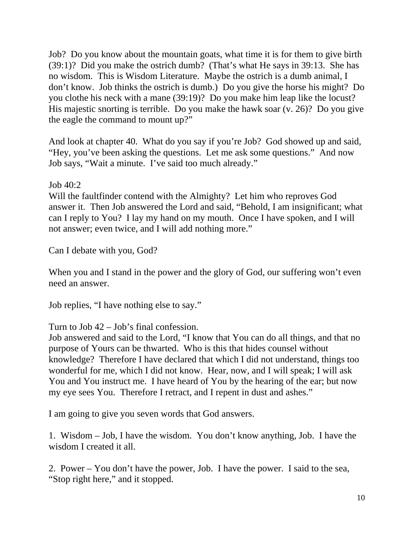Job? Do you know about the mountain goats, what time it is for them to give birth (39:1)? Did you make the ostrich dumb? (That's what He says in 39:13. She has no wisdom. This is Wisdom Literature. Maybe the ostrich is a dumb animal, I don't know. Job thinks the ostrich is dumb.) Do you give the horse his might? Do you clothe his neck with a mane (39:19)? Do you make him leap like the locust? His majestic snorting is terrible. Do you make the hawk soar (v. 26)? Do you give the eagle the command to mount up?"

And look at chapter 40. What do you say if you're Job? God showed up and said, "Hey, you've been asking the questions. Let me ask some questions." And now Job says, "Wait a minute. I've said too much already."

Job 40:2

Will the faultfinder contend with the Almighty? Let him who reproves God answer it. Then Job answered the Lord and said, "Behold, I am insignificant; what can I reply to You? I lay my hand on my mouth. Once I have spoken, and I will not answer; even twice, and I will add nothing more."

Can I debate with you, God?

When you and I stand in the power and the glory of God, our suffering won't even need an answer.

Job replies, "I have nothing else to say."

Turn to Job 42 – Job's final confession.

Job answered and said to the Lord, "I know that You can do all things, and that no purpose of Yours can be thwarted. Who is this that hides counsel without knowledge? Therefore I have declared that which I did not understand, things too wonderful for me, which I did not know. Hear, now, and I will speak; I will ask You and You instruct me. I have heard of You by the hearing of the ear; but now my eye sees You. Therefore I retract, and I repent in dust and ashes."

I am going to give you seven words that God answers.

1. Wisdom – Job, I have the wisdom. You don't know anything, Job. I have the wisdom I created it all.

2. Power – You don't have the power, Job. I have the power. I said to the sea, "Stop right here," and it stopped.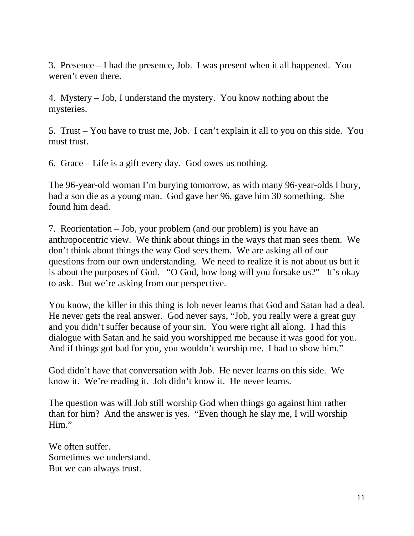3. Presence – I had the presence, Job. I was present when it all happened. You weren't even there.

4. Mystery – Job, I understand the mystery. You know nothing about the mysteries.

5. Trust – You have to trust me, Job. I can't explain it all to you on this side. You must trust.

6. Grace – Life is a gift every day. God owes us nothing.

The 96-year-old woman I'm burying tomorrow, as with many 96-year-olds I bury, had a son die as a young man. God gave her 96, gave him 30 something. She found him dead.

7. Reorientation – Job, your problem (and our problem) is you have an anthropocentric view. We think about things in the ways that man sees them. We don't think about things the way God sees them. We are asking all of our questions from our own understanding. We need to realize it is not about us but it is about the purposes of God. "O God, how long will you forsake us?" It's okay to ask. But we're asking from our perspective.

You know, the killer in this thing is Job never learns that God and Satan had a deal. He never gets the real answer. God never says, "Job, you really were a great guy and you didn't suffer because of your sin. You were right all along. I had this dialogue with Satan and he said you worshipped me because it was good for you. And if things got bad for you, you wouldn't worship me. I had to show him."

God didn't have that conversation with Job. He never learns on this side. We know it. We're reading it. Job didn't know it. He never learns.

The question was will Job still worship God when things go against him rather than for him? And the answer is yes. "Even though he slay me, I will worship Him."

We often suffer. Sometimes we understand. But we can always trust.